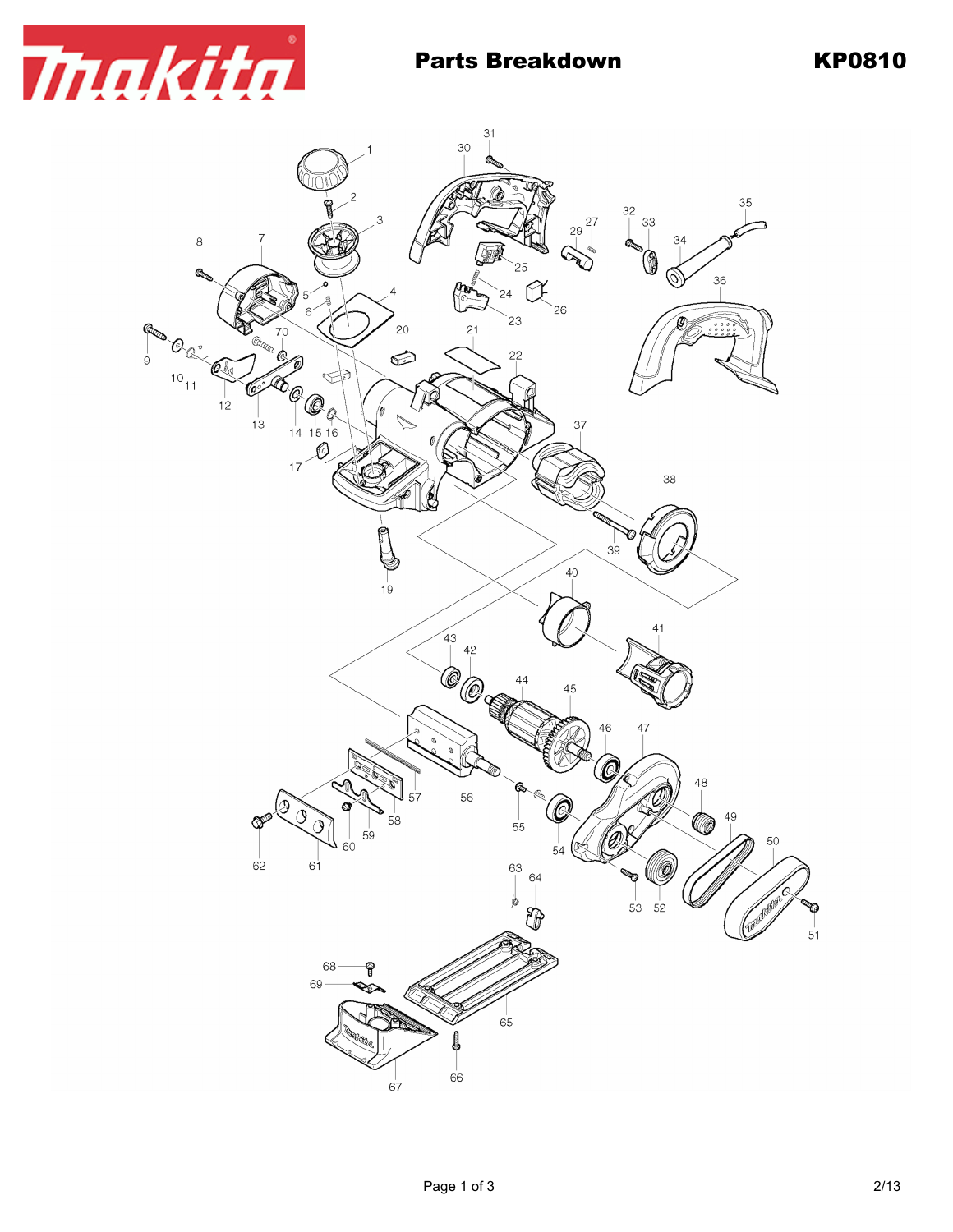

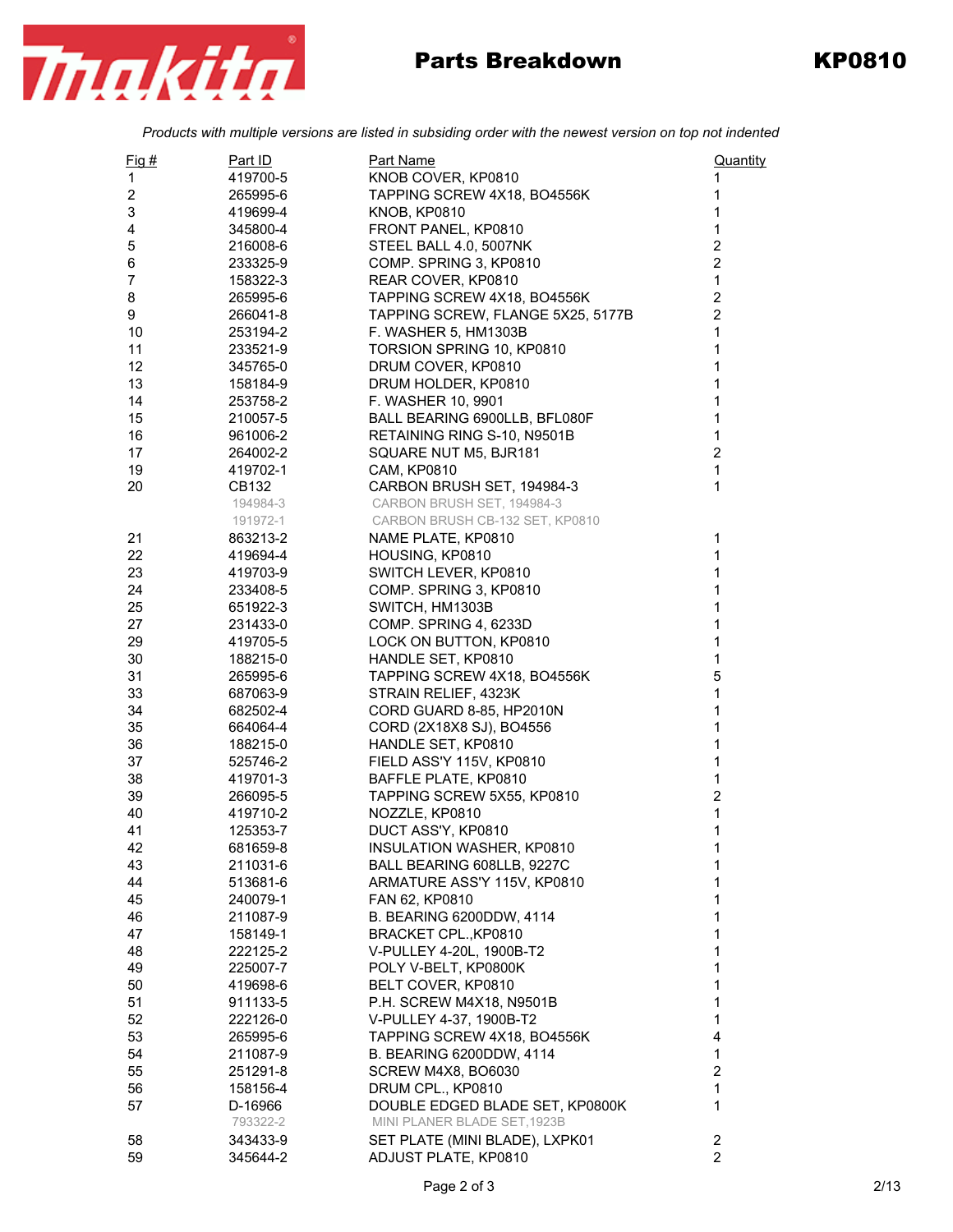

## Parts Breakdown KP0810

*Products with multiple versions are listed in subsiding order with the newest version on top not indented*

| $Fig. \#$               | Part ID  | <b>Part Name</b>                  | Quantity       |
|-------------------------|----------|-----------------------------------|----------------|
| 1                       | 419700-5 | KNOB COVER, KP0810                | 1              |
| $\overline{\mathbf{c}}$ | 265995-6 | TAPPING SCREW 4X18, BO4556K       | 1              |
| 3                       | 419699-4 | <b>KNOB, KP0810</b>               | 1              |
| 4                       | 345800-4 | FRONT PANEL, KP0810               | 1              |
| 5                       | 216008-6 | STEEL BALL 4.0, 5007NK            | $\overline{c}$ |
| 6                       | 233325-9 | COMP. SPRING 3, KP0810            | $\overline{2}$ |
| $\overline{7}$          | 158322-3 | REAR COVER, KP0810                | $\mathbf{1}$   |
| 8                       | 265995-6 | TAPPING SCREW 4X18, BO4556K       | $\overline{2}$ |
| 9                       | 266041-8 | TAPPING SCREW, FLANGE 5X25, 5177B | $\overline{2}$ |
| 10                      | 253194-2 | F. WASHER 5, HM1303B              | $\mathbf{1}$   |
| 11                      | 233521-9 | TORSION SPRING 10, KP0810         | $\mathbf{1}$   |
| 12                      | 345765-0 | DRUM COVER, KP0810                | 1              |
| 13                      | 158184-9 | DRUM HOLDER, KP0810               | 1              |
| 14                      | 253758-2 | F. WASHER 10, 9901                | 1              |
| 15                      | 210057-5 | BALL BEARING 6900LLB, BFL080F     | 1              |
| 16                      | 961006-2 | RETAINING RING S-10, N9501B       | 1              |
| 17                      | 264002-2 | SQUARE NUT M5, BJR181             | $\overline{c}$ |
| 19                      | 419702-1 | <b>CAM, KP0810</b>                | $\mathbf{1}$   |
| 20                      | CB132    | CARBON BRUSH SET, 194984-3        | 1              |
|                         | 194984-3 | CARBON BRUSH SET, 194984-3        |                |
|                         | 191972-1 | CARBON BRUSH CB-132 SET, KP0810   |                |
| 21                      | 863213-2 | NAME PLATE, KP0810                | 1              |
| 22                      | 419694-4 | HOUSING, KP0810                   | 1              |
| 23                      | 419703-9 | SWITCH LEVER, KP0810              | 1              |
| 24                      | 233408-5 | COMP. SPRING 3, KP0810            | 1              |
| 25                      | 651922-3 | SWITCH, HM1303B                   | 1              |
| 27                      | 231433-0 | COMP. SPRING 4, 6233D             | 1              |
| 29                      | 419705-5 | LOCK ON BUTTON, KP0810            | 1              |
| 30                      | 188215-0 | HANDLE SET, KP0810                | 1              |
| 31                      | 265995-6 | TAPPING SCREW 4X18, BO4556K       | 5              |
| 33                      | 687063-9 | STRAIN RELIEF, 4323K              | 1              |
| 34                      | 682502-4 | CORD GUARD 8-85, HP2010N          | 1              |
| 35                      | 664064-4 | CORD (2X18X8 SJ), BO4556          | 1              |
| 36                      | 188215-0 | HANDLE SET, KP0810                | 1              |
| 37                      | 525746-2 | FIELD ASS'Y 115V, KP0810          | 1              |
| 38                      | 419701-3 | BAFFLE PLATE, KP0810              | 1              |
| 39                      | 266095-5 | TAPPING SCREW 5X55, KP0810        | $\overline{c}$ |
| 40                      | 419710-2 | NOZZLE, KP0810                    | 1              |
| 41                      | 125353-7 | DUCT ASS'Y, KP0810                | 1              |
| 42                      | 681659-8 | INSULATION WASHER, KP0810         | 1              |
| 43                      | 211031-6 | BALL BEARING 608LLB, 9227C        | 1              |
| 44                      | 513681-6 | ARMATURE ASS'Y 115V, KP0810       | 1              |
| 45                      | 240079-1 | FAN 62, KP0810                    | 1              |
| 46                      | 211087-9 | B. BEARING 6200DDW, 4114          | 1              |
| 47                      | 158149-1 | BRACKET CPL., KP0810              | 1              |
| 48                      | 222125-2 | V-PULLEY 4-20L, 1900B-T2          | 1              |
| 49                      | 225007-7 | POLY V-BELT, KP0800K              | 1              |
| 50                      | 419698-6 | BELT COVER, KP0810                | 1              |
| 51                      | 911133-5 | P.H. SCREW M4X18, N9501B          | 1              |
| 52                      | 222126-0 | V-PULLEY 4-37, 1900B-T2           | 1              |
| 53                      | 265995-6 | TAPPING SCREW 4X18, BO4556K       | 4              |
| 54                      | 211087-9 | B. BEARING 6200DDW, 4114          | 1              |
| 55                      | 251291-8 | SCREW M4X8, BO6030                | 2              |
| 56                      | 158156-4 | DRUM CPL., KP0810                 | 1              |
| 57                      | D-16966  | DOUBLE EDGED BLADE SET, KP0800K   | 1              |
|                         | 793322-2 | MINI PLANER BLADE SET, 1923B      |                |
| 58                      | 343433-9 | SET PLATE (MINI BLADE), LXPK01    | 2              |
| 59                      | 345644-2 | ADJUST PLATE, KP0810              | $\overline{2}$ |